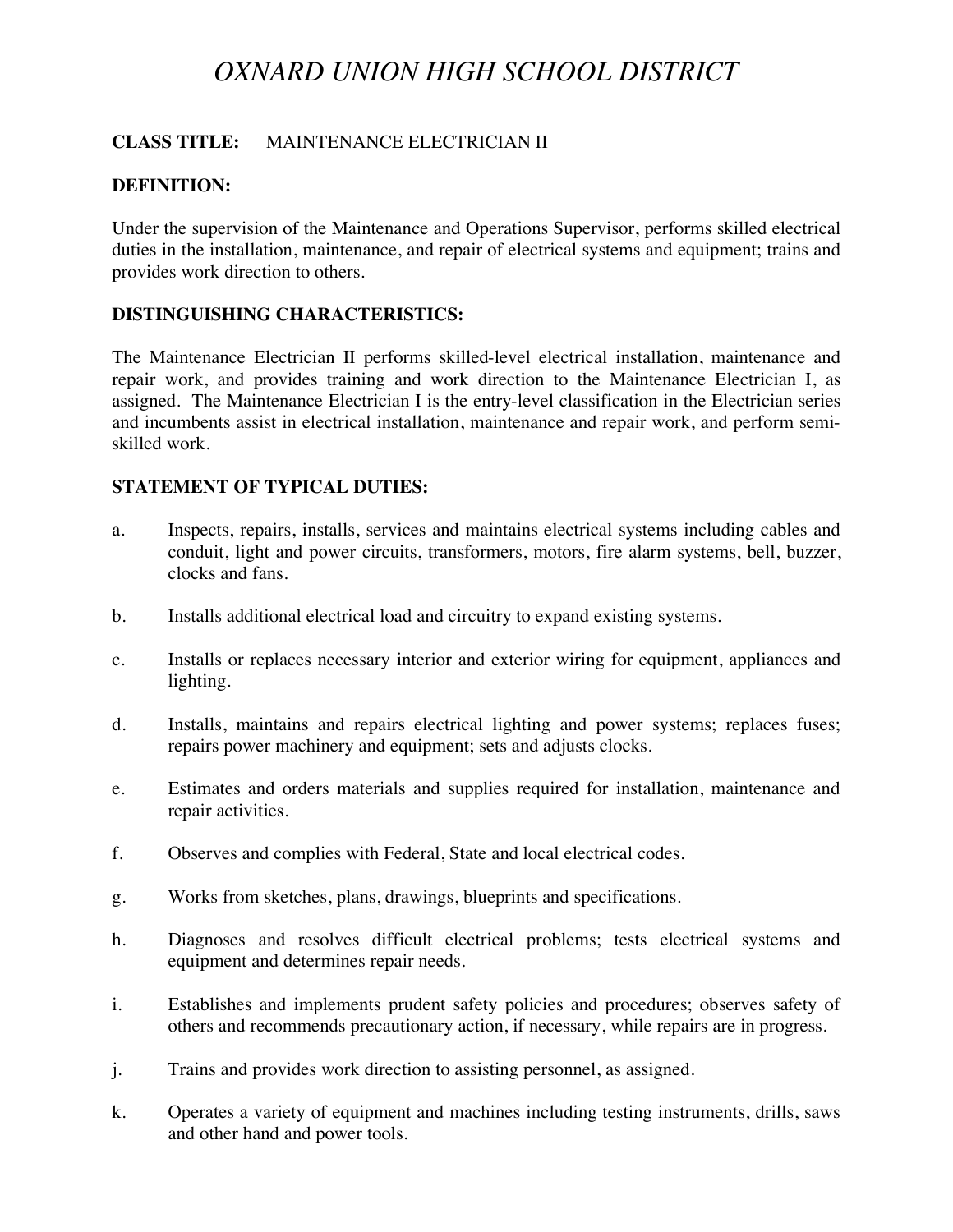# *OXNARD UNION HIGH SCHOOL DISTRICT*

## **CLASS TITLE:** MAINTENANCE ELECTRICIAN II

## **DEFINITION:**

Under the supervision of the Maintenance and Operations Supervisor, performs skilled electrical duties in the installation, maintenance, and repair of electrical systems and equipment; trains and provides work direction to others.

## **DISTINGUISHING CHARACTERISTICS:**

The Maintenance Electrician II performs skilled-level electrical installation, maintenance and repair work, and provides training and work direction to the Maintenance Electrician I, as assigned. The Maintenance Electrician I is the entry-level classification in the Electrician series and incumbents assist in electrical installation, maintenance and repair work, and perform semiskilled work.

## **STATEMENT OF TYPICAL DUTIES:**

- a. Inspects, repairs, installs, services and maintains electrical systems including cables and conduit, light and power circuits, transformers, motors, fire alarm systems, bell, buzzer, clocks and fans.
- b. Installs additional electrical load and circuitry to expand existing systems.
- c. Installs or replaces necessary interior and exterior wiring for equipment, appliances and lighting.
- d. Installs, maintains and repairs electrical lighting and power systems; replaces fuses; repairs power machinery and equipment; sets and adjusts clocks.
- e. Estimates and orders materials and supplies required for installation, maintenance and repair activities.
- f. Observes and complies with Federal, State and local electrical codes.
- g. Works from sketches, plans, drawings, blueprints and specifications.
- h. Diagnoses and resolves difficult electrical problems; tests electrical systems and equipment and determines repair needs.
- i. Establishes and implements prudent safety policies and procedures; observes safety of others and recommends precautionary action, if necessary, while repairs are in progress.
- j. Trains and provides work direction to assisting personnel, as assigned.
- k. Operates a variety of equipment and machines including testing instruments, drills, saws and other hand and power tools.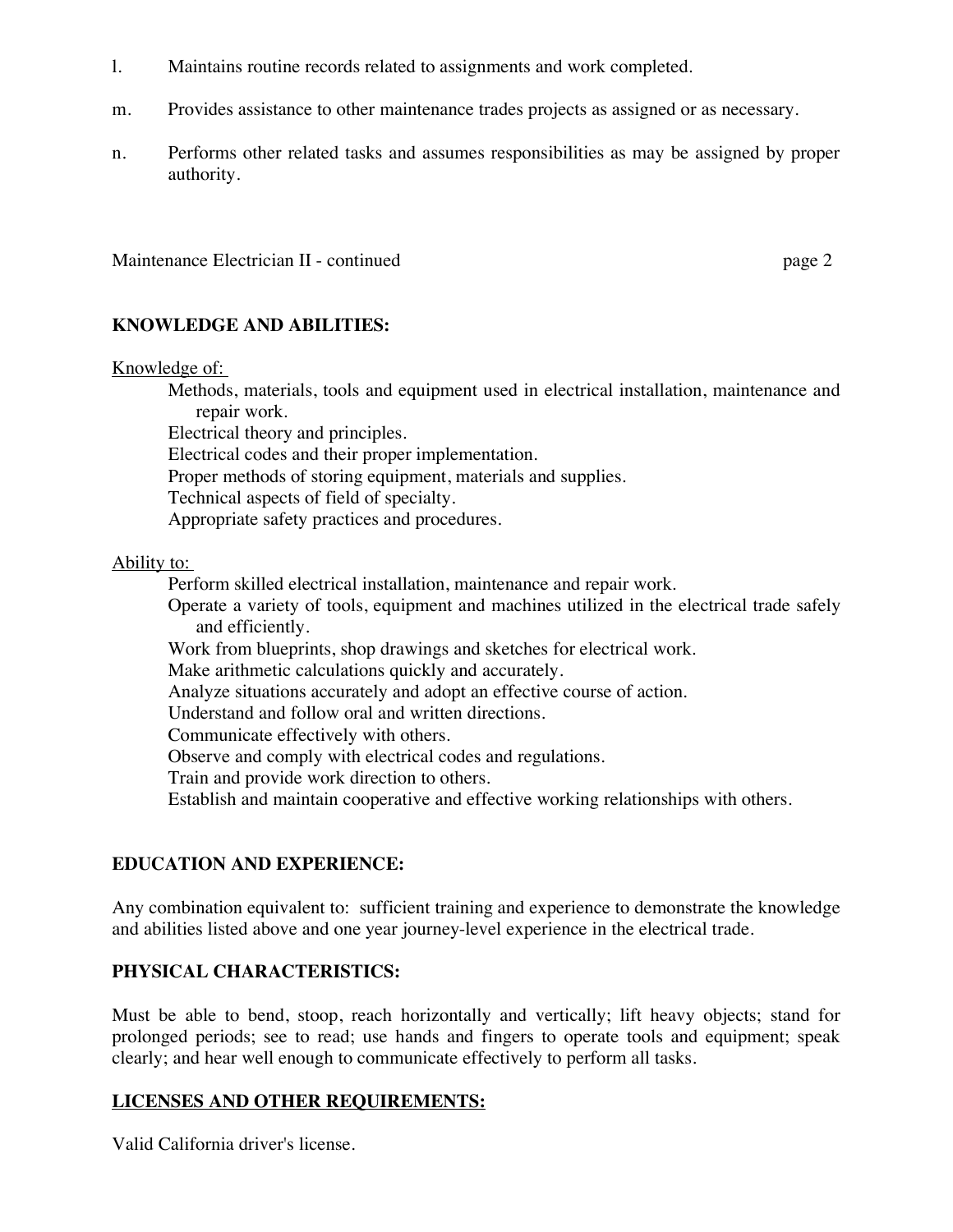- l. Maintains routine records related to assignments and work completed.
- m. Provides assistance to other maintenance trades projects as assigned or as necessary.
- n. Performs other related tasks and assumes responsibilities as may be assigned by proper authority.

Maintenance Electrician II - continued page 2

### **KNOWLEDGE AND ABILITIES:**

#### Knowledge of:

 Methods, materials, tools and equipment used in electrical installation, maintenance and repair work.

Electrical theory and principles.

Electrical codes and their proper implementation.

Proper methods of storing equipment, materials and supplies.

Technical aspects of field of specialty.

Appropriate safety practices and procedures.

## Ability to:

 Perform skilled electrical installation, maintenance and repair work. Operate a variety of tools, equipment and machines utilized in the electrical trade safely and efficiently. Work from blueprints, shop drawings and sketches for electrical work. Make arithmetic calculations quickly and accurately. Analyze situations accurately and adopt an effective course of action. Understand and follow oral and written directions. Communicate effectively with others. Observe and comply with electrical codes and regulations. Train and provide work direction to others.

Establish and maintain cooperative and effective working relationships with others.

## **EDUCATION AND EXPERIENCE:**

Any combination equivalent to: sufficient training and experience to demonstrate the knowledge and abilities listed above and one year journey-level experience in the electrical trade.

## **PHYSICAL CHARACTERISTICS:**

Must be able to bend, stoop, reach horizontally and vertically; lift heavy objects; stand for prolonged periods; see to read; use hands and fingers to operate tools and equipment; speak clearly; and hear well enough to communicate effectively to perform all tasks.

## **LICENSES AND OTHER REQUIREMENTS:**

Valid California driver's license.